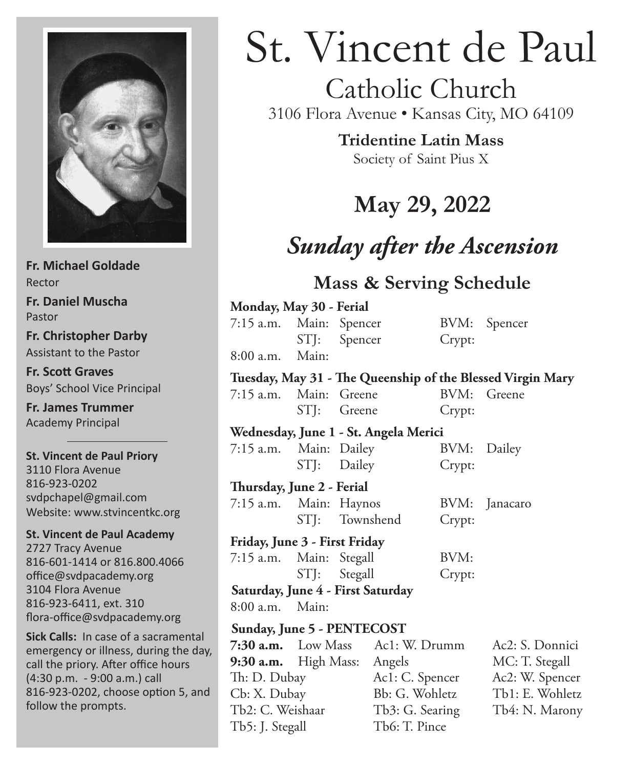

**Fr. Michael Goldade** Rector **Fr. Daniel Muscha** Pastor **Fr. Christopher Darby** Assistant to the Pastor **Fr. Scott Graves**

Boys' School Vice Principal

**Fr. James Trummer** Academy Principal

**St. Vincent de Paul Priory** 3110 Flora Avenue 816-923-0202 svdpchapel@gmail.com Website: www.stvincentkc.org

**St. Vincent de Paul Academy** 2727 Tracy Avenue 816-601-1414 or 816.800.4066 office@svdpacademy.org 3104 Flora Avenue 816-923-6411, ext. 310 flora-office@svdpacademy.org

**Sick Calls:** In case of a sacramental emergency or illness, during the day, call the priory. After office hours (4:30 p.m. - 9:00 a.m.) call 816-923-0202, choose option 5, and follow the prompts.

# St. Vincent de Paul

# Catholic Church

3106 Flora Avenue • Kansas City, MO 64109

**Tridentine Latin Mass** Society of Saint Pius X

# **May 29, 2022**

# *Sunday after the Ascension*

### **Mass & Serving Schedule**

| Monday, May 30 - Ferial               |                             |                |                 |        |                                                            |
|---------------------------------------|-----------------------------|----------------|-----------------|--------|------------------------------------------------------------|
| 7:15 a.m. Main: Spencer               |                             |                |                 |        | BVM: Spencer                                               |
|                                       | STJ: Spencer                |                |                 | Crypt: |                                                            |
| $8:00$ a.m.                           | Main:                       |                |                 |        |                                                            |
|                                       |                             |                |                 |        | Tuesday, May 31 - The Queenship of the Blessed Virgin Mary |
| 7:15 a.m. Main: Greene                |                             |                |                 | BVM:   | Greene                                                     |
|                                       | STJ: Greene                 |                |                 | Crypt: |                                                            |
| Wednesday, June 1 - St. Angela Merici |                             |                |                 |        |                                                            |
| 7:15 a.m. Main: Dailey                |                             |                |                 |        | BVM: Dailey                                                |
|                                       | STJ: Dailey                 |                |                 | Crypt: |                                                            |
| Thursday, June 2 - Ferial             |                             |                |                 |        |                                                            |
| 7:15 a.m. Main: Haynos                |                             |                |                 | BVM:   | Janacaro                                                   |
|                                       |                             | STJ: Townshend |                 | Crypt: |                                                            |
| Friday, June 3 - First Friday         |                             |                |                 |        |                                                            |
| 7:15 a.m. Main: Stegall               |                             |                |                 | BVM:   |                                                            |
|                                       |                             | STJ: Stegall   |                 | Crypt: |                                                            |
| Saturday, June 4 - First Saturday     |                             |                |                 |        |                                                            |
| 8:00 a.m. Main:                       |                             |                |                 |        |                                                            |
| Sunday, June 5 - PENTECOST            |                             |                |                 |        |                                                            |
|                                       | $7:30$ a.m. Low Mass        |                | Ac1: W. Drumm   |        | Ac2: S. Donnici                                            |
|                                       | 9:30 a.m. High Mass: Angels |                |                 |        | MC: T. Stegall                                             |
| Th: D. Dubay                          |                             |                | Ac1: C. Spencer |        | Ac2: W. Spencer                                            |
| Cb: X. Dubay                          |                             |                | Bb: G. Wohletz  |        | Tb1: E. Wohletz                                            |
| Tb2: C. Weishaar                      |                             |                | Tb3: G. Searing |        | Tb4: N. Marony                                             |

Tb5: J. Stegall Tb6: T. Pince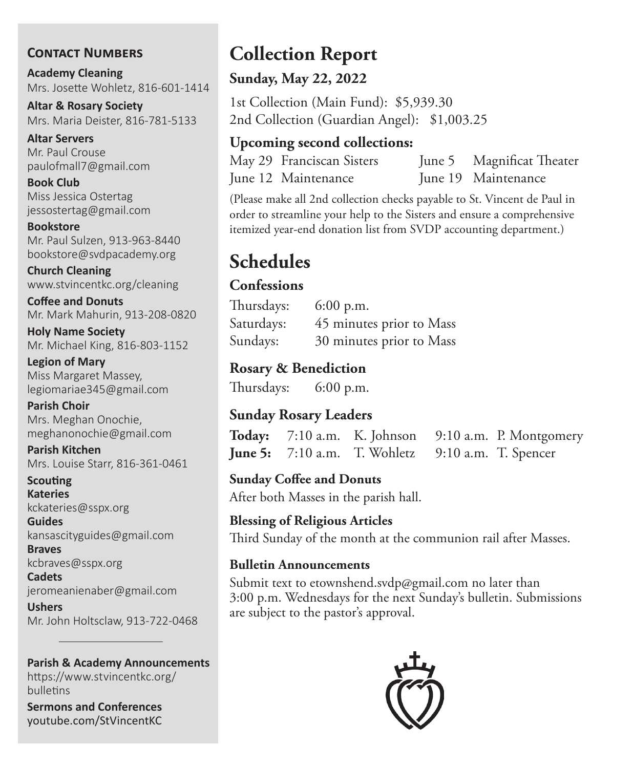#### **Contact Numbers**

**Academy Cleaning** Mrs. Josette Wohletz, 816-601-1414

**Altar & Rosary Society** Mrs. Maria Deister, 816-781-5133

**Altar Servers** Mr. Paul Crouse paulofmall7@gmail.com

**Book Club** Miss Jessica Ostertag jessostertag@gmail.com

**Bookstore** Mr. Paul Sulzen, 913-963-8440 bookstore@svdpacademy.org

**Church Cleaning** www.stvincentkc.org/cleaning

**Coffee and Donuts** Mr. Mark Mahurin, 913-208-0820

**Holy Name Society** Mr. Michael King, 816-803-1152

**Legion of Mary** Miss Margaret Massey, legiomariae345@gmail.com

**Parish Choir** Mrs. Meghan Onochie, meghanonochie@gmail.com

**Parish Kitchen** Mrs. Louise Starr, 816-361-0461

**Scouting Kateries** kckateries@sspx.org

**Guides** kansascityguides@gmail.com

**Braves** kcbraves@sspx.org

**Cadets** jeromeanienaber@gmail.com

**Ushers** Mr. John Holtsclaw, 913-722-0468

**Parish & Academy Announcements**

https://www.stvincentkc.org/ bulletins

**Sermons and Conferences** youtube.com/StVincentKC

# **Collection Report**

#### **Sunday, May 22, 2022**

1st Collection (Main Fund): \$5,939.30 2nd Collection (Guardian Angel): \$1,003.25

#### **Upcoming second collections:**

May 29 Franciscan Sisters June 5 Magnificat Theater June 12 Maintenance June 19 Maintenance

(Please make all 2nd collection checks payable to St. Vincent de Paul in order to streamline your help to the Sisters and ensure a comprehensive itemized year-end donation list from SVDP accounting department.)

# **Schedules**

#### **Confessions**

Thursdays: 6:00 p.m. Saturdays: 45 minutes prior to Mass Sundays: 30 minutes prior to Mass

#### **Rosary & Benediction**

Thursdays: 6:00 p.m.

#### **Sunday Rosary Leaders**

**Today:** 7:10 a.m. K. Johnson 9:10 a.m. P. Montgomery **June 5:** 7:10 a.m. T. Wohletz 9:10 a.m. T. Spencer

**Sunday Coffee and Donuts**

After both Masses in the parish hall.

#### **Blessing of Religious Articles** Third Sunday of the month at the communion rail after Masses.

#### **Bulletin Announcements**

Submit text to etownshend.svdp@gmail.com no later than 3:00 p.m. Wednesdays for the next Sunday's bulletin. Submissions are subject to the pastor's approval.

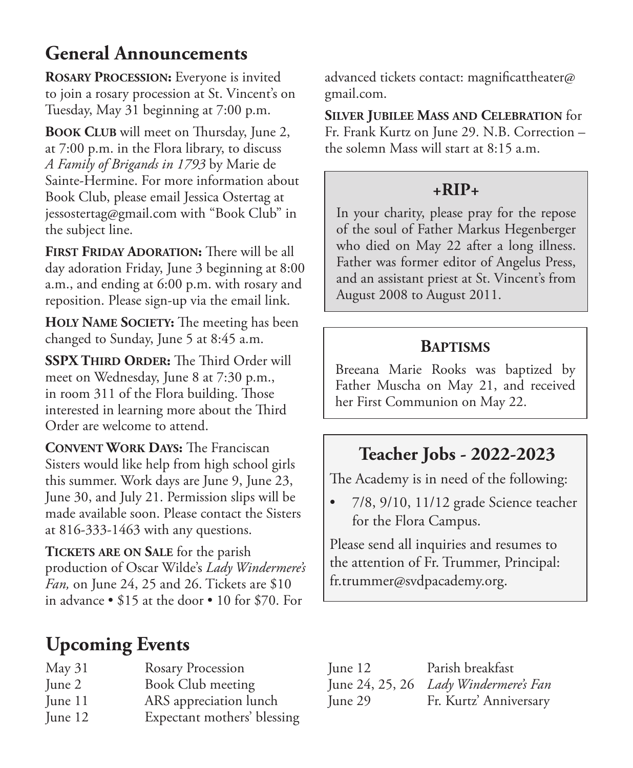## **General Announcements**

**Rosary Procession:** Everyone is invited to join a rosary procession at St. Vincent's on Tuesday, May 31 beginning at 7:00 p.m.

**Book Club** will meet on Thursday, June 2, at 7:00 p.m. in the Flora library, to discuss *A Family of Brigands in 1793* by Marie de Sainte-Hermine. For more information about Book Club, please email Jessica Ostertag at jessostertag@gmail.com with "Book Club" in the subject line.

**FIRST FRIDAY ADORATION:** There will be all day adoration Friday, June 3 beginning at 8:00 a.m., and ending at 6:00 p.m. with rosary and reposition. Please sign-up via the email link.

**Holy Name Society:** The meeting has been changed to Sunday, June 5 at 8:45 a.m.

**SSPX Third Order:** The Third Order will meet on Wednesday, June 8 at 7:30 p.m., in room 311 of the Flora building. Those interested in learning more about the Third Order are welcome to attend.

**Convent Work Days:** The Franciscan Sisters would like help from high school girls this summer. Work days are June 9, June 23, June 30, and July 21. Permission slips will be made available soon. Please contact the Sisters at 816-333-1463 with any questions.

**Tickets are on Sale** for the parish production of Oscar Wilde's *Lady Windermere's Fan,* on June 24, 25 and 26. Tickets are \$10 in advance • \$15 at the door • 10 for \$70. For

# **Upcoming Events**

| May 31  | <b>Rosary Procession</b> |
|---------|--------------------------|
| June 2  | Book Club meeting        |
| June 11 | ARS appreciation lunch   |

June 12 Expectant mothers' blessing

advanced tickets contact: magnificattheater@ gmail.com.

**Silver Jubilee Mass and Celebration** for Fr. Frank Kurtz on June 29. N.B. Correction – the solemn Mass will start at 8:15 a.m.

#### **+RIP+**

In your charity, please pray for the repose of the soul of Father Markus Hegenberger who died on May 22 after a long illness. Father was former editor of Angelus Press, and an assistant priest at St. Vincent's from August 2008 to August 2011.

#### **Baptisms**

Breeana Marie Rooks was baptized by Father Muscha on May 21, and received her First Communion on May 22.

### **Teacher Jobs - 2022-2023**

The Academy is in need of the following:

• 7/8, 9/10, 11/12 grade Science teacher for the Flora Campus.

Please send all inquiries and resumes to the attention of Fr. Trummer, Principal: fr.trummer@svdpacademy.org.

| June 12 | Parish breakfast                      |
|---------|---------------------------------------|
|         | June 24, 25, 26 Lady Windermere's Fan |
| June 29 | Fr. Kurtz' Anniversary                |